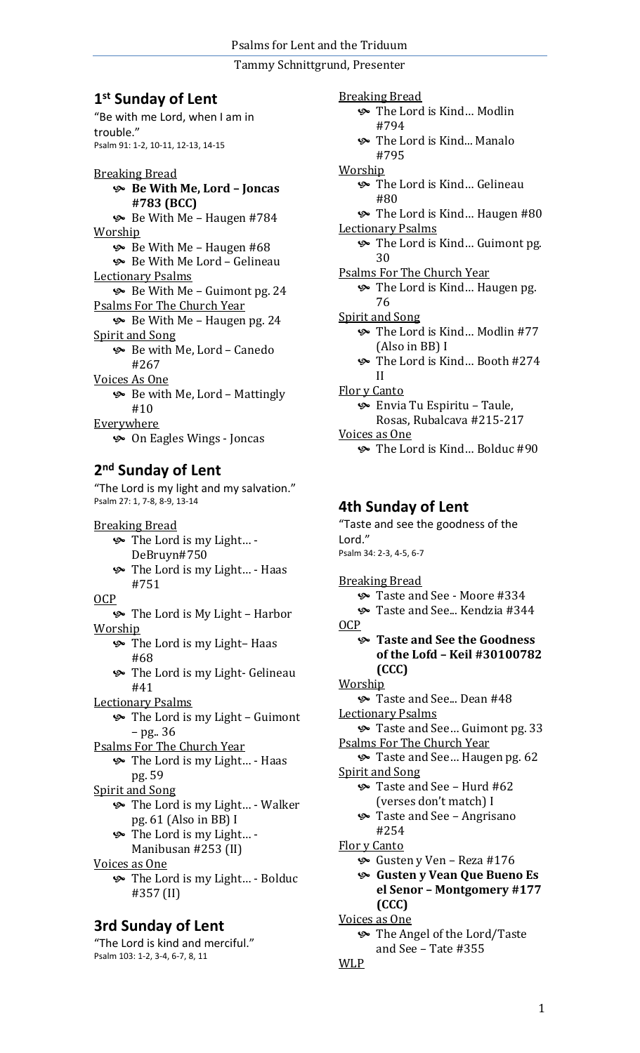## **1 st Sunday of Lent**

"Be with me Lord, when I am in trouble." Psalm 91: 1-2, 10-11, 12-13, 14-15

Breaking Bread **Be With Me, Lord – Joncas #783 (BCC)**  $\&$  Be With Me – Haugen #784 Worship Be With Me – Haugen #68 Be With Me Lord – Gelineau Lectionary Psalms Be With Me – Guimont pg. 24 Psalms For The Church Year Be With Me – Haugen pg. 24 Spirit and Song Be with Me, Lord – Canedo #267 Voices As One  $\&$  Be with Me, Lord – Mattingly #10 Everywhere On Eagles Wings - Joncas

## **2 nd Sunday of Lent**

"The Lord is my light and my salvation." Psalm 27: 1, 7-8, 8-9, 13-14

Breaking Bread The Lord is my Light… - DeBruyn#750 The Lord is my Light… - Haas #751 OCP The Lord is My Light – Harbor Worship The Lord is my Light– Haas #68 **S** The Lord is my Light- Gelineau #41 Lectionary Psalms The Lord is my Light – Guimont – pg.. 36 Psalms For The Church Year The Lord is my Light… - Haas pg. 59 Spirit and Song The Lord is my Light… - Walker pg. 61 (Also in BB) I The Lord is my Light… - Manibusan #253 (II) Voices as One The Lord is my Light… - Bolduc #357 (II) **3rd Sunday of Lent** 

"The Lord is kind and merciful." Psalm 103: 1-2, 3-4, 6-7, 8, 11

Breaking Bread The Lord is Kind… Modlin #794 The Lord is Kind... Manalo #795 Worship The Lord is Kind… Gelineau #80 The Lord is Kind… Haugen #80 Lectionary Psalms The Lord is Kind… Guimont pg. 30 Psalms For The Church Year The Lord is Kind… Haugen pg. 76 Spirit and Song The Lord is Kind… Modlin #77 (Also in BB) I The Lord is Kind… Booth #274 II Flor y Canto Envia Tu Espiritu – Taule, Rosas, Rubalcava #215-217 Voices as One The Lord is Kind… Bolduc #90

### **4th Sunday of Lent**

"Taste and see the goodness of the Lord." Psalm 34: 2-3, 4-5, 6-7 Breaking Bread Taste and See - Moore #334 Taste and See... Kendzia #344 OCP **Taste and See the Goodness of the Lofd – Keil #30100782 (CCC) Worship** Solution Taste and See... Dean #48 Lectionary Psalms Taste and See… Guimont pg. 33 Psalms For The Church Year Taste and See… Haugen pg. 62 Spirit and Song Taste and See – Hurd #62 (verses don't match) I Taste and See – Angrisano #254 Flor y Canto Gusten y Ven – Reza #176 **Gusten y Vean Que Bueno Es el Senor – Montgomery #177 (CCC)** Voices as One The Angel of the Lord/Taste and See – Tate #355 WLP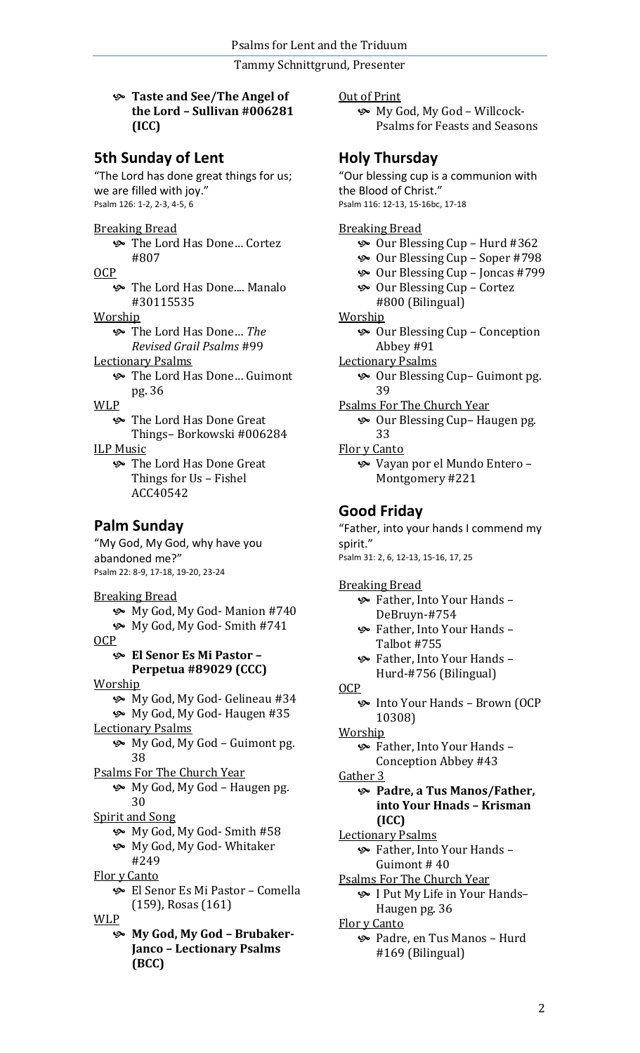#### **Taste and See/The Angel of the Lord – Sullivan #006281 (ICC)**

### **5th Sunday of Lent**

"The Lord has done great things for us; we are filled with joy." Psalm 126: 1-2, 2-3, 4-5, 6

#### Breaking Bread

 The Lord Has Done… Cortez #807

OCP

**S** The Lord Has Done.... Manalo #30115535

Worship

 The Lord Has Done… *The Revised Grail Psalms* #99

- Lectionary Psalms
	- The Lord Has Done… Guimont pg. 36

WLP

 The Lord Has Done Great Things– Borkowski #006284

#### ILP Music

 The Lord Has Done Great Things for Us – Fishel ACC40542

### **Palm Sunday**

"My God, My God, why have you abandoned me?" Psalm 22: 8-9, 17-18, 19-20, 23-24

#### Breaking Bread

- My God, My God- Manion #740
- My God, My God- Smith #741

OCP

#### **El Senor Es Mi Pastor – Perpetua #89029 (CCC)**

Worship

- My God, My God- Gelineau #34
- My God, My God- Haugen #35
- Lectionary Psalms
	- My God, My God Guimont pg. 38

Psalms For The Church Year

 My God, My God – Haugen pg. 30

Spirit and Song

- My God, My God- Smith #58
	- My God, My God- Whitaker #249

Flor y Canto

 El Senor Es Mi Pastor – Comella (159), Rosas (161)

WLP

 **My God, My God – Brubaker-Janco – Lectionary Psalms (BCC)**

Out of Print

 My God, My God – Willcock-Psalms for Feasts and Seasons

### **Holy Thursday**

"Our blessing cup is a communion with the Blood of Christ." Psalm 116: 12-13, 15-16bc, 17-18

#### Breaking Bread

- Our Blessing Cup Hurd #362
- Our Blessing Cup Soper #798
- Our Blessing Cup Joncas #799
- Our Blessing Cup Cortez #800 (Bilingual)
- **Worship** 
	- Our Blessing Cup Conception Abbey #91
- Lectionary Psalms

 Our Blessing Cup– Guimont pg. 39

Psalms For The Church Year

 Our Blessing Cup– Haugen pg. 33

Flor y Canto

 Vayan por el Mundo Entero – Montgomery #221

### **Good Friday**

"Father, into your hands I commend my spirit." Psalm 31: 2, 6, 12-13, 15-16, 17, 25 Breaking Bread

- Father, Into Your Hands DeBruyn-#754
- Father, Into Your Hands Talbot #755
- Father, Into Your Hands Hurd-#756 (Bilingual)
- OCP
	- Into Your Hands Brown (OCP 10308)
- Worship
	- Father, Into Your Hands Conception Abbey #43
- Gather 3

#### **Padre, a Tus Manos/Father, into Your Hnads – Krisman (ICC)**

Lectionary Psalms

 Father, Into Your Hands – Guimont # 40

- Psalms For The Church Year I Put My Life in Your Hands– Haugen pg. 36
- Flor y Canto
- Padre, en Tus Manos Hurd #169 (Bilingual)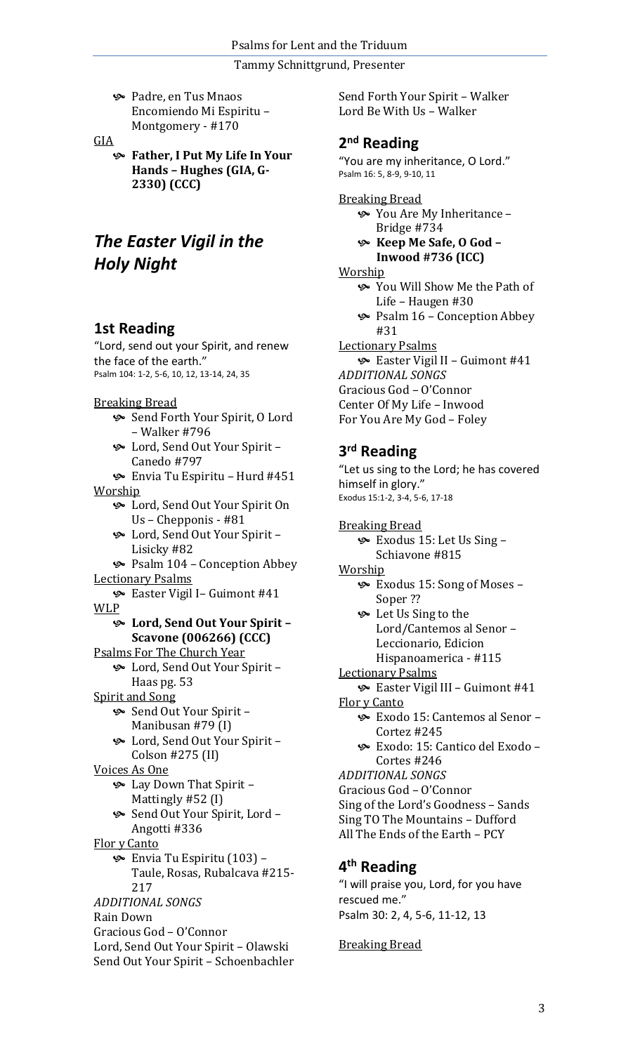Padre, en Tus Mnaos Encomiendo Mi Espiritu – Montgomery - #170

#### GIA

 **Father, I Put My Life In Your Hands – Hughes (GIA, G-2330) (CCC)**

# *The Easter Vigil in the Holy Night*

### **1st Reading**

"Lord, send out your Spirit, and renew the face of the earth." Psalm 104: 1-2, 5-6, 10, 12, 13-14, 24, 35

#### Breaking Bread

- Send Forth Your Spirit, O Lord – Walker #796
- Lord, Send Out Your Spirit Canedo #797

 Envia Tu Espiritu – Hurd #451 Worship

- Lord, Send Out Your Spirit On Us – Chepponis - #81
- Lord, Send Out Your Spirit Lisicky #82
- $\sim$  Psalm 104 Conception Abbey Lectionary Psalms
- Easter Vigil I– Guimont #41 WLP

### **Lord, Send Out Your Spirit – Scavone (006266) (CCC)**

- Psalms For The Church Year Lord, Send Out Your Spirit –
- Haas pg. 53
- Spirit and Song
	- Send Out Your Spirit Manibusan #79 (I)
	- Lord, Send Out Your Spirit Colson #275 (II)
- Voices As One
	- Lay Down That Spirit Mattingly #52 (I)
	- Send Out Your Spirit, Lord Angotti #336
- Flor y Canto
	- Envia Tu Espiritu (103) Taule, Rosas, Rubalcava #215- 217

```
ADDITIONAL SONGS
```
Rain Down

- Gracious God O'Connor
- Lord, Send Out Your Spirit Olawski Send Out Your Spirit – Schoenbachler

Send Forth Your Spirit – Walker Lord Be With Us – Walker

### **2 nd Reading**

"You are my inheritance, O Lord." Psalm 16: 5, 8-9, 9-10, 11

- Breaking Bread You Are My Inheritance – Bridge #734
	- **Keep Me Safe, O God – Inwood #736 (ICC)**

#### Worship

- You Will Show Me the Path of Life – Haugen #30
- Psalm 16 Conception Abbey #31
- Lectionary Psalms Easter Vigil II – Guimont #41 *ADDITIONAL SONGS* Gracious God – O'Connor
- Center Of My Life Inwood
- For You Are My God Foley

## **3 rd Reading**

"Let us sing to the Lord; he has covered himself in glory." Exodus 15:1-2, 3-4, 5-6, 17-18 Breaking Bread Exodus 15: Let Us Sing – Schiavone #815 Worship Exodus 15: Song of Moses – Soper ?? Let Us Sing to the Lord/Cantemos al Senor – Leccionario, Edicion Hispanoamerica - #115 Lectionary Psalms Easter Vigil III – Guimont #41 Flor y Canto Exodo 15: Cantemos al Senor – Cortez #245 Exodo: 15: Cantico del Exodo – Cortes #246 *ADDITIONAL SONGS*

Gracious God – O'Connor

Sing of the Lord's Goodness – Sands Sing TO The Mountains – Dufford

All The Ends of the Earth – PCY

## **4 th Reading**

"I will praise you, Lord, for you have rescued me." Psalm 30: 2, 4, 5-6, 11-12, 13

Breaking Bread